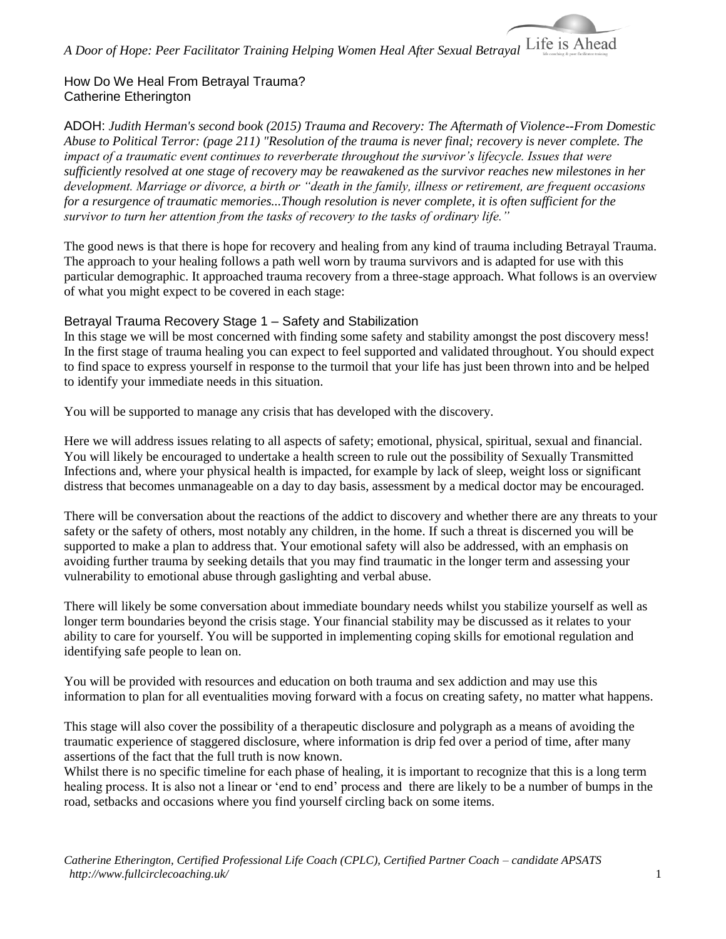## How Do We Heal From Betrayal Trauma? Catherine Etherington

ADOH: *Judith Herman's second book (2015) Trauma and Recovery: The Aftermath of Violence--From Domestic Abuse to Political Terror: (page 211) "Resolution of the trauma is never final; recovery is never complete. The impact of a traumatic event continues to reverberate throughout the survivor's lifecycle. Issues that were sufficiently resolved at one stage of recovery may be reawakened as the survivor reaches new milestones in her development. Marriage or divorce, a birth or "death in the family, illness or retirement, are frequent occasions for a resurgence of traumatic memories...Though resolution is never complete, it is often sufficient for the survivor to turn her attention from the tasks of recovery to the tasks of ordinary life."*

The good news is that there is hope for recovery and healing from any kind of trauma including Betrayal Trauma. The approach to your healing follows a path well worn by trauma survivors and is adapted for use with this particular demographic. It approached trauma recovery from a three-stage approach. What follows is an overview of what you might expect to be covered in each stage:

### Betrayal Trauma Recovery Stage 1 – Safety and Stabilization

In this stage we will be most concerned with finding some safety and stability amongst the post discovery mess! In the first stage of trauma healing you can expect to feel supported and validated throughout. You should expect to find space to express yourself in response to the turmoil that your life has just been thrown into and be helped to identify your immediate needs in this situation.

You will be supported to manage any crisis that has developed with the discovery.

Here we will address issues relating to all aspects of safety; emotional, physical, spiritual, sexual and financial. You will likely be encouraged to undertake a health screen to rule out the possibility of Sexually Transmitted Infections and, where your physical health is impacted, for example by lack of sleep, weight loss or significant distress that becomes unmanageable on a day to day basis, assessment by a medical doctor may be encouraged.

There will be conversation about the reactions of the addict to discovery and whether there are any threats to your safety or the safety of others, most notably any children, in the home. If such a threat is discerned you will be supported to make a plan to address that. Your emotional safety will also be addressed, with an emphasis on avoiding further trauma by seeking details that you may find traumatic in the longer term and assessing your vulnerability to emotional abuse through gaslighting and verbal abuse.

There will likely be some conversation about immediate boundary needs whilst you stabilize yourself as well as longer term boundaries beyond the crisis stage. Your financial stability may be discussed as it relates to your ability to care for yourself. You will be supported in implementing coping skills for emotional regulation and identifying safe people to lean on.

You will be provided with resources and education on both trauma and sex addiction and may use this information to plan for all eventualities moving forward with a focus on creating safety, no matter what happens.

This stage will also cover the possibility of a therapeutic disclosure and polygraph as a means of avoiding the traumatic experience of staggered disclosure, where information is drip fed over a period of time, after many assertions of the fact that the full truth is now known.

Whilst there is no specific timeline for each phase of healing, it is important to recognize that this is a long term healing process. It is also not a linear or 'end to end' process and there are likely to be a number of bumps in the road, setbacks and occasions where you find yourself circling back on some items.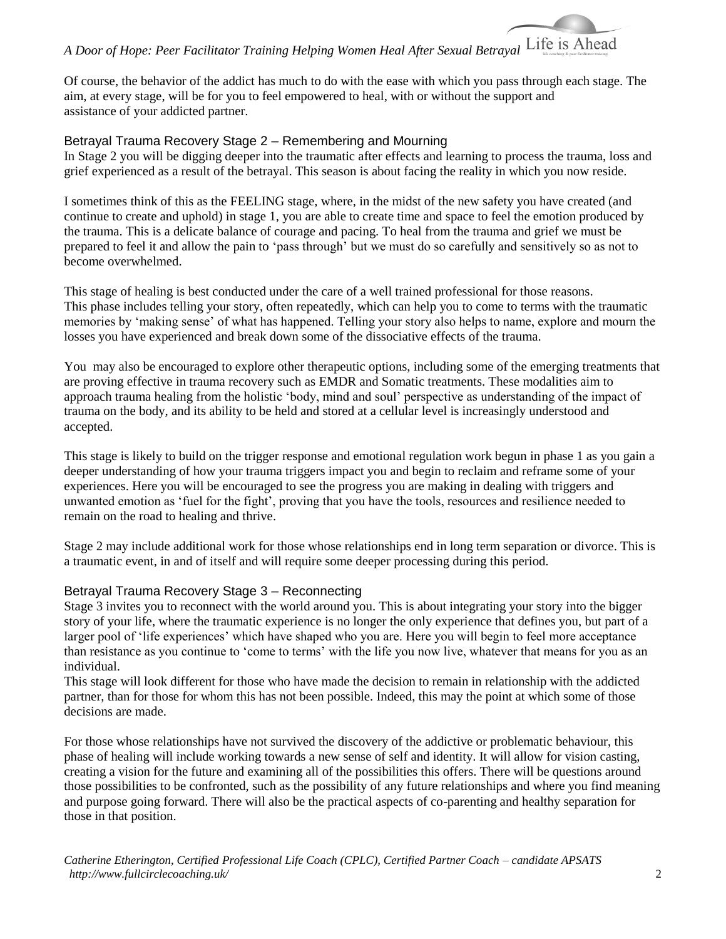# *A Door of Hope: Peer Facilitator Training Helping Women Heal After Sexual Betrayal*

Of course, the behavior of the addict has much to do with the ease with which you pass through each stage. The aim, at every stage, will be for you to feel empowered to heal, with or without the support and assistance of your addicted partner.

#### Betrayal Trauma Recovery Stage 2 – Remembering and Mourning

In Stage 2 you will be digging deeper into the traumatic after effects and learning to process the trauma, loss and grief experienced as a result of the betrayal. This season is about facing the reality in which you now reside.

I sometimes think of this as the FEELING stage, where, in the midst of the new safety you have created (and continue to create and uphold) in stage 1, you are able to create time and space to feel the emotion produced by the trauma. This is a delicate balance of courage and pacing. To heal from the trauma and grief we must be prepared to feel it and allow the pain to 'pass through' but we must do so carefully and sensitively so as not to become overwhelmed.

This stage of healing is best conducted under the care of a well trained professional for those reasons. This phase includes telling your story, often repeatedly, which can help you to come to terms with the traumatic memories by 'making sense' of what has happened. Telling your story also helps to name, explore and mourn the losses you have experienced and break down some of the dissociative effects of the trauma.

You may also be encouraged to explore other therapeutic options, including some of the emerging treatments that are proving effective in trauma recovery such as EMDR and Somatic treatments. These modalities aim to approach trauma healing from the holistic 'body, mind and soul' perspective as understanding of the impact of trauma on the body, and its ability to be held and stored at a cellular level is increasingly understood and accepted.

This stage is likely to build on the trigger response and emotional regulation work begun in phase 1 as you gain a deeper understanding of how your trauma triggers impact you and begin to reclaim and reframe some of your experiences. Here you will be encouraged to see the progress you are making in dealing with triggers and unwanted emotion as 'fuel for the fight', proving that you have the tools, resources and resilience needed to remain on the road to healing and thrive.

Stage 2 may include additional work for those whose relationships end in long term separation or divorce. This is a traumatic event, in and of itself and will require some deeper processing during this period.

### Betrayal Trauma Recovery Stage 3 – Reconnecting

Stage 3 invites you to reconnect with the world around you. This is about integrating your story into the bigger story of your life, where the traumatic experience is no longer the only experience that defines you, but part of a larger pool of 'life experiences' which have shaped who you are. Here you will begin to feel more acceptance than resistance as you continue to 'come to terms' with the life you now live, whatever that means for you as an individual.

This stage will look different for those who have made the decision to remain in relationship with the addicted partner, than for those for whom this has not been possible. Indeed, this may the point at which some of those decisions are made.

For those whose relationships have not survived the discovery of the addictive or problematic behaviour, this phase of healing will include working towards a new sense of self and identity. It will allow for vision casting, creating a vision for the future and examining all of the possibilities this offers. There will be questions around those possibilities to be confronted, such as the possibility of any future relationships and where you find meaning and purpose going forward. There will also be the practical aspects of co-parenting and healthy separation for those in that position.